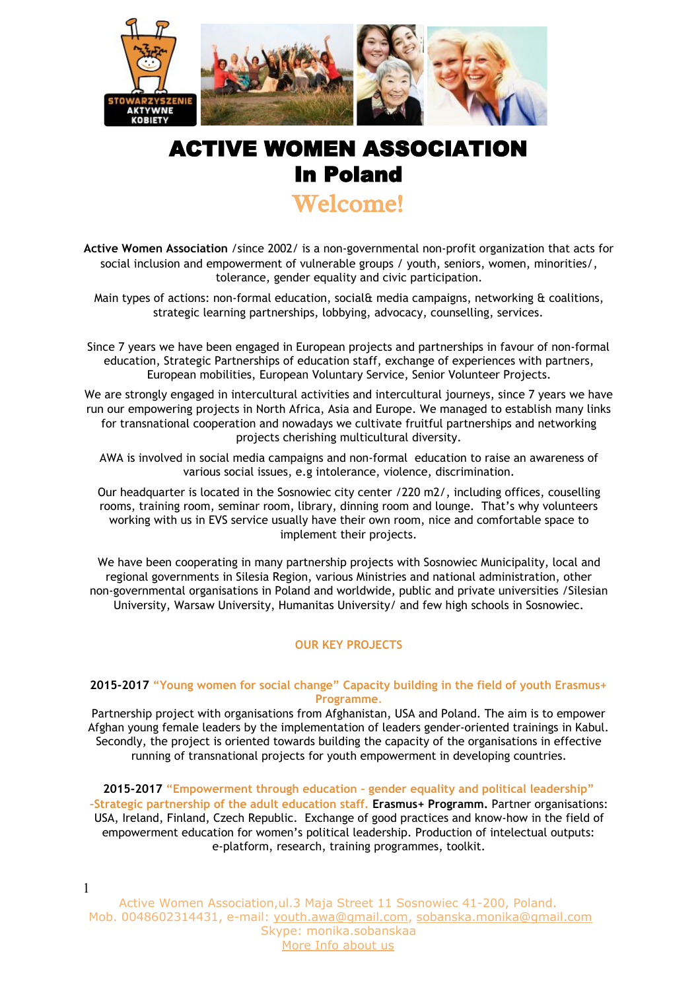

# ACTIVE WOMEN ASSOCIATION In Poland

# Welcome!

**Active Women Association** /since 2002/ is a non-governmental non-profit organization that acts for social inclusion and empowerment of vulnerable groups / youth, seniors, women, minorities/, tolerance, gender equality and civic participation.

Main types of actions: non-formal education, social& media campaigns, networking & coalitions, strategic learning partnerships, lobbying, advocacy, counselling, services.

Since 7 years we have been engaged in European projects and partnerships in favour of non-formal education, Strategic Partnerships of education staff, exchange of experiences with partners, European mobilities, European Voluntary Service, Senior Volunteer Projects.

We are strongly engaged in intercultural activities and intercultural journeys, since 7 years we have run our empowering projects in North Africa, Asia and Europe. We managed to establish many links for transnational cooperation and nowadays we cultivate fruitful partnerships and networking projects cherishing multicultural diversity.

AWA is involved in social media campaigns and non-formal education to raise an awareness of various social issues, e.g intolerance, violence, discrimination.

Our headquarter is located in the Sosnowiec city center /220 m2/, including offices, couselling rooms, training room, seminar room, library, dinning room and lounge. That's why volunteers working with us in EVS service usually have their own room, nice and comfortable space to implement their projects.

We have been cooperating in many partnership projects with Sosnowiec Municipality, local and regional governments in Silesia Region, various Ministries and national administration, other non-governmental organisations in Poland and worldwide, public and private universities /Silesian University, Warsaw University, Humanitas University/ and few high schools in Sosnowiec.

## **OUR KEY PROJECTS**

## **2015-2017 "Young women for social change" Capacity building in the field of youth Erasmus+ Programme**.

Partnership project with organisations from Afghanistan, USA and Poland. The aim is to empower Afghan young female leaders by the implementation of leaders gender-oriented trainings in Kabul. Secondly, the project is oriented towards building the capacity of the organisations in effective running of transnational projects for youth empowerment in developing countries.

**2015-2017 "Empowerment through education – gender equality and political leadership" –Strategic partnership of the adult education staff. Erasmus+ Programm.** Partner organisations: USA, Ireland, Finland, Czech Republic. Exchange of good practices and know-how in the field of empowerment education for women's political leadership. Production of intelectual outputs: e-platform, research, training programmes, toolkit.

Active Women Association,ul.3 Maja Street 11 Sosnowiec 41-200, Poland. Mob. 0048602314431, e-mail: [youth.awa@gmail.com,](mailto:youth.awa@gmail.com) [sobanska.monika@gmail.com](mailto:sobanska.monika@gmail.com) [Skype: monika.sobanskaa](http://l/) [More Info about us](http://www.youblisher.com/p/1620087-ACTIVE-WOMEN-ASSOCIATION-Brochure/)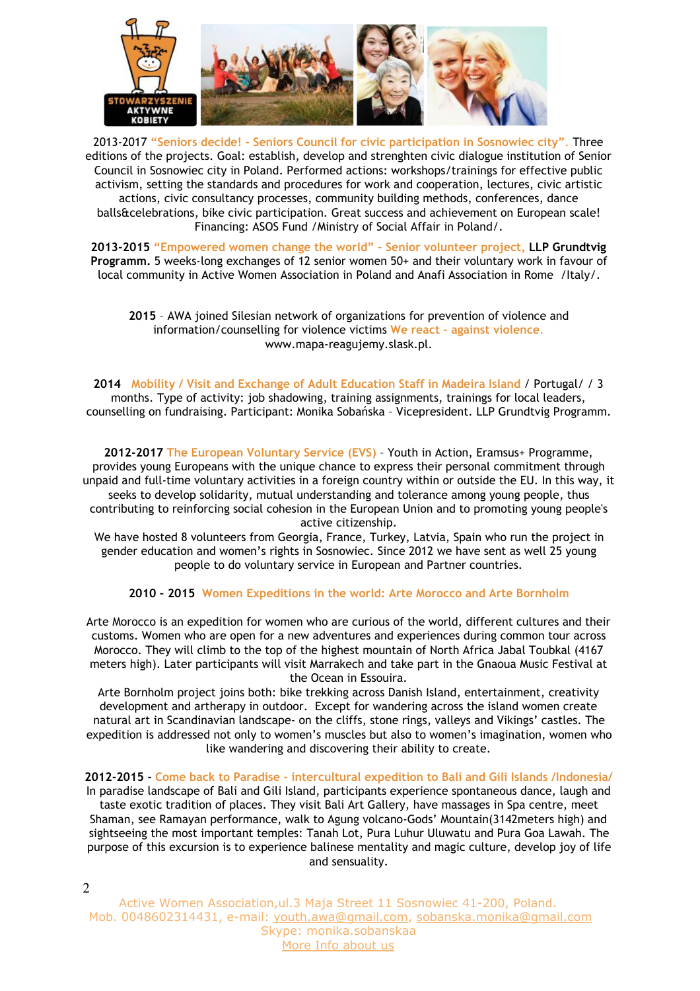

2013-2017 **"Seniors decide! - Seniors Council for civic participation in Sosnowiec city"**. Three editions of the projects. Goal: establish, develop and strenghten civic dialogue institution of Senior Council in Sosnowiec city in Poland. Performed actions: workshops/trainings for effective public activism, setting the standards and procedures for work and cooperation, lectures, civic artistic actions, civic consultancy processes, community building methods, conferences, dance balls&celebrations, bike civic participation. Great success and achievement on European scale! Financing: ASOS Fund /Ministry of Social Affair in Poland/.

**2013-2015 "Empowered women change the world" – Senior volunteer project, LLP Grundtvig Programm.** 5 weeks-long exchanges of 12 senior women 50+ and their voluntary work in favour of local community in Active Women Association in Poland and Anafi Association in Rome /Italy/.

**2015** – AWA joined Silesian network of organizations for prevention of violence and information/counselling for violence victims **We react – against violence**. www.mapa-reagujemy.slask.pl.

**2014 Mobility / Visit and Exchange of Adult Education Staff in Madeira Island** / Portugal/ / 3 months. Type of activity: job shadowing, training assignments, trainings for local leaders, counselling on fundraising. Participant: Monika Sobańska – Vicepresident. LLP Grundtvig Programm.

**2012-2017 The European Voluntary Service (EVS)** – Youth in Action, Eramsus+ Programme, provides young Europeans with the unique chance to express their personal commitment through unpaid and full-time voluntary activities in a foreign country within or outside the EU. In this way, it seeks to develop solidarity, mutual understanding and tolerance among young people, thus contributing to reinforcing social cohesion in the European Union and to promoting young people's active citizenship.

We have hosted 8 volunteers from Georgia, France, Turkey, Latvia, Spain who run the project in gender education and women's rights in Sosnowiec. Since 2012 we have sent as well 25 young people to do voluntary service in European and Partner countries.

**2010 – 2015 Women Expeditions in the world: Arte Morocco and Arte Bornholm**

Arte Morocco is an expedition for women who are curious of the world, different cultures and their customs. Women who are open for a new adventures and experiences during common tour across Morocco. They will climb to the top of the highest mountain of North Africa Jabal Toubkal (4167 meters high). Later participants will visit Marrakech and take part in the Gnaoua Music Festival at the Ocean in Essouira.

Arte Bornholm project joins both: bike trekking across Danish Island, entertainment, creativity development and artherapy in outdoor. Except for wandering across the island women create natural art in Scandinavian landscape- on the cliffs, stone rings, valleys and Vikings' castles. The expedition is addressed not only to women's muscles but also to women's imagination, women who like wandering and discovering their ability to create.

#### **2012-2015 - Come back to Paradise - intercultural expedition to Bali and Gili Islands /Indonesia/**

In paradise landscape of Bali and Gili Island, participants experience spontaneous dance, laugh and taste exotic tradition of places. They visit Bali Art Gallery, have massages in Spa centre, meet Shaman, see Ramayan performance, walk to Agung volcano-Gods' Mountain(3142meters high) and sightseeing the most important temples: Tanah Lot, Pura Luhur Uluwatu and Pura Goa Lawah. The purpose of this excursion is to experience balinese mentality and magic culture, develop joy of life and sensuality.

Active Women Association,ul.3 Maja Street 11 Sosnowiec 41-200, Poland. Mob. 0048602314431, e-mail: [youth.awa@gmail.com,](mailto:youth.awa@gmail.com) [sobanska.monika@gmail.com](mailto:sobanska.monika@gmail.com) [Skype: monika.sobanskaa](http://l/) [More Info about us](http://www.youblisher.com/p/1620087-ACTIVE-WOMEN-ASSOCIATION-Brochure/)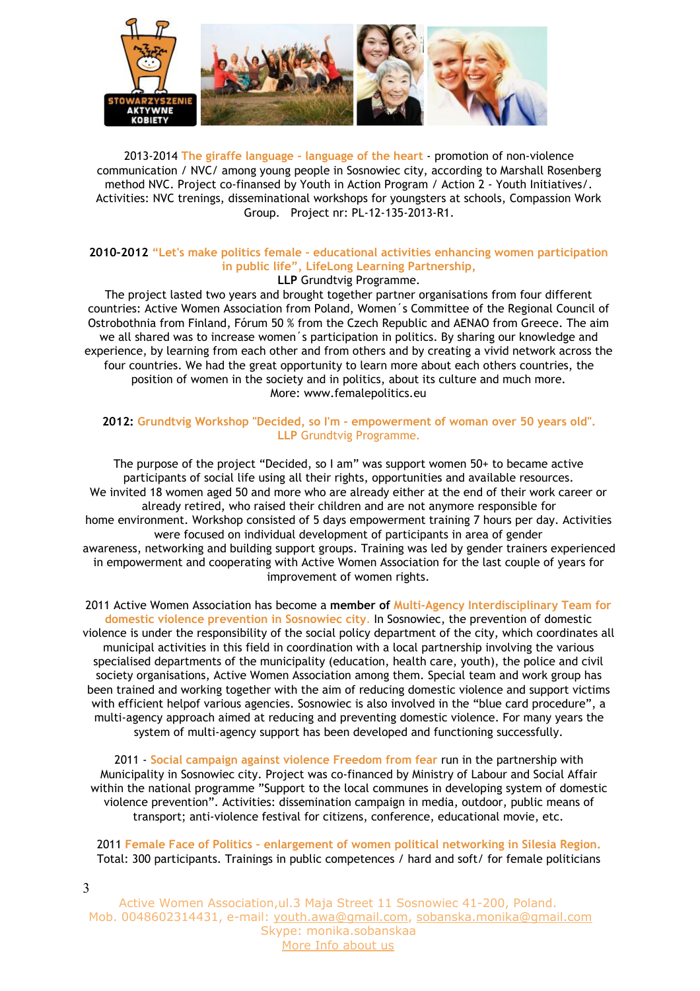

2013-2014 **The giraffe language - language of the heart** - promotion of non-violence communication / NVC/ among young people in Sosnowiec city, according to Marshall Rosenberg method NVC. Project co-finansed by Youth in Action Program / Action 2 - Youth Initiatives/. Activities: NVC trenings, disseminational workshops for youngsters at schools, Compassion Work Group. Project nr: PL-12-135-2013-R1.

#### **2010-2012 "Let's make politics female – educational activities enhancing women participation in public life", LifeLong Learning Partnership, LLP** Grundtvig Programme.

The project lasted two years and brought together partner organisations from four different countries: Active Women Association from Poland, Women´s Committee of the Regional Council of Ostrobothnia from Finland, Fórum 50 % from the Czech Republic and AENAO from Greece. The aim we all shared was to increase women´s participation in politics. By sharing our knowledge and experience, by learning from each other and from others and by creating a vivid network across the four countries. We had the great opportunity to learn more about each others countries, the position of women in the society and in politics, about its culture and much more. More: [www.femalepolitics.eu](http://www.femalepolitics.eu/)

## **2012: Grundtvig Workshop "Decided, so I'm - empowerment of woman over 50 years old". LLP** Grundtvig Programme.

The purpose of the project "Decided, so I am" was support women 50+ to became active participants of social life using all their rights, opportunities and available resources. We invited 18 women aged 50 and more who are already either at the end of their work career or already retired, who raised their children and are not anymore responsible for home environment. Workshop consisted of 5 days empowerment training 7 hours per day. Activities were focused on individual development of participants in area of gender awareness, networking and building support groups. Training was led by gender trainers experienced in empowerment and cooperating with Active Women Association for the last couple of years for improvement of women rights.

2011 Active Women Association has become a **member of M ulti-Agency Interdisciplinary Team for domestic violence prevention in Sosnowiec city**. In Sosnowiec, the prevention of domestic violence is under the responsibility of the social policy department of the city, which coordinates all municipal activities in this field in coordination with a local partnership involving the various specialised departments of the municipality (education, health care, youth), the police and civil society organisations, Active Women Association among them. Special team and work group has been trained and working together with the aim of reducing domestic violence and support victims with efficient helpof various agencies. Sosnowiec is also involved in the "blue card procedure", a multi-agency approach aimed at reducing and preventing domestic violence. For many years the system of multi-agency support has been developed and functioning successfully.

2011 - **Social campaign against violence Freedom from fear** run in the partnership with Municipality in Sosnowiec city. Project was co-financed by Ministry of Labour and Social Affair within the national programme "Support to the local communes in developing system of domestic violence prevention". Activities: dissemination campaign in media, outdoor, public means of transport; anti-violence festival for citizens, conference, educational movie, etc.

2011 **Female Face of Politics – enlargement of women political networking in Silesia Region.** Total: 300 participants. Trainings in public competences / hard and soft/ for female politicians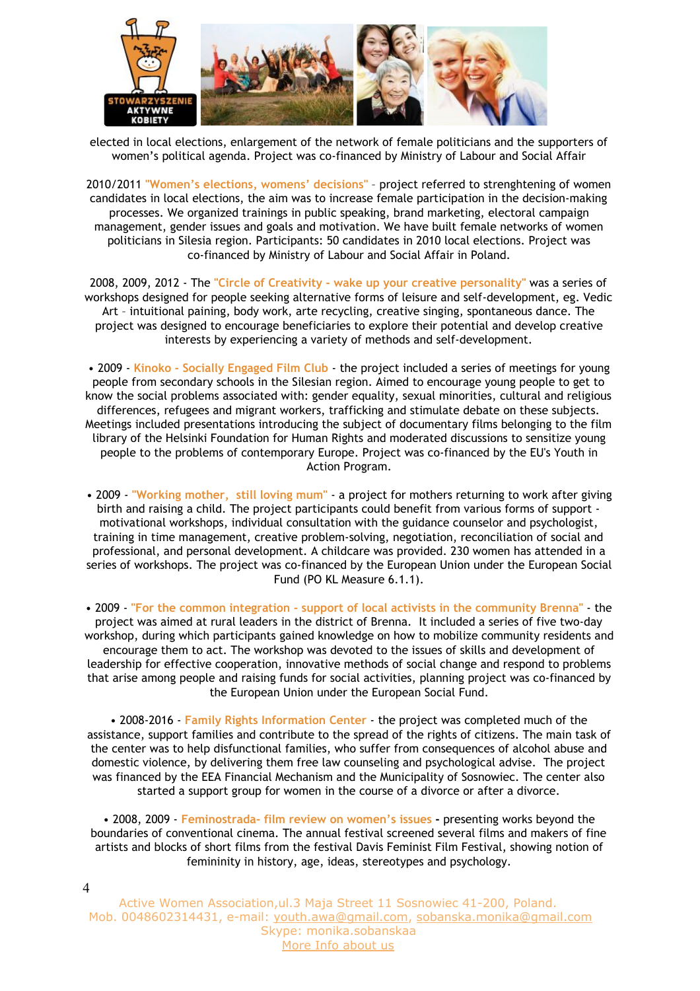

elected in local elections, enlargement of the network of female politicians and the supporters of women's political agenda. Project was co-financed by Ministry of Labour and Social Affair

2010/2011 **"Women's elections, womens' decisions"** – project referred to strenghtening of women candidates in local elections, the aim was to increase female participation in the decision-making processes. We organized trainings in public speaking, brand marketing, electoral campaign management, gender issues and goals and motivation. We have built female networks of women politicians in Silesia region. Participants: 50 candidates in 2010 local elections. Project was co-financed by Ministry of Labour and Social Affair in Poland.

2008, 2009, 2012 - The **"Circle of Creativity - wake up your creative personality"** was a series of workshops designed for people seeking alternative forms of leisure and self-development, eg. Vedic Art – intuitional paining, body work, arte recycling, creative singing, spontaneous dance. The project was designed to encourage beneficiaries to explore their potential and develop creative interests by experiencing a variety of methods and self-development.

• 2009 - **Kinoko - Socially Engaged Film Club** - the project included a series of meetings for young people from secondary schools in the Silesian region. Aimed to encourage young people to get to know the social problems associated with: gender equality, sexual minorities, cultural and religious differences, refugees and migrant workers, trafficking and stimulate debate on these subjects. Meetings included presentations introducing the subject of documentary films belonging to the film library of the Helsinki Foundation for Human Rights and moderated discussions to sensitize young people to the problems of contemporary Europe. Project was co-financed by the EU's Youth in Action Program.

• 2009 - **"Working mother, still loving mum"** - a project for mothers returning to work after giving birth and raising a child. The project participants could benefit from various forms of support motivational workshops, individual consultation with the guidance counselor and psychologist, training in time management, creative problem-solving, negotiation, reconciliation of social and professional, and personal development. A childcare was provided. 230 women has attended in a series of workshops. The project was co-financed by the European Union under the European Social Fund (PO KL Measure 6.1.1).

• 2009 - **"For the common integration - support of local activists in the community Brenna"** - the project was aimed at rural leaders in the district of Brenna. It included a series of five two-day workshop, during which participants gained knowledge on how to mobilize community residents and encourage them to act. The workshop was devoted to the issues of skills and development of leadership for effective cooperation, innovative methods of social change and respond to problems that arise among people and raising funds for social activities, planning project was co-financed by the European Union under the European Social Fund.

• 2008-2016 - **Family Rights Information Center** - the project was completed much of the assistance, support families and contribute to the spread of the rights of citizens. The main task of the center was to help disfunctional families, who suffer from consequences of alcohol abuse and domestic violence, by delivering them free law counseling and psychological advise. The project was financed by the EEA Financial Mechanism and the Municipality of Sosnowiec. The center also started a support group for women in the course of a divorce or after a divorce.

• 2008, 2009 - **Feminostrada- film review on women's issues -** p resenting works beyond the boundaries of conventional cinema. The annual festival screened several films and makers of fine artists and blocks of short films from the festival Davis Feminist Film Festival, showing notion of femininity in history, age, ideas, stereotypes and psychology.

Active Women Association,ul.3 Maja Street 11 Sosnowiec 41-200, Poland. Mob. 0048602314431, e-mail: [youth.awa@gmail.com,](mailto:youth.awa@gmail.com) [sobanska.monika@gmail.com](mailto:sobanska.monika@gmail.com) [Skype: monika.sobanskaa](http://l/) [More Info about us](http://www.youblisher.com/p/1620087-ACTIVE-WOMEN-ASSOCIATION-Brochure/)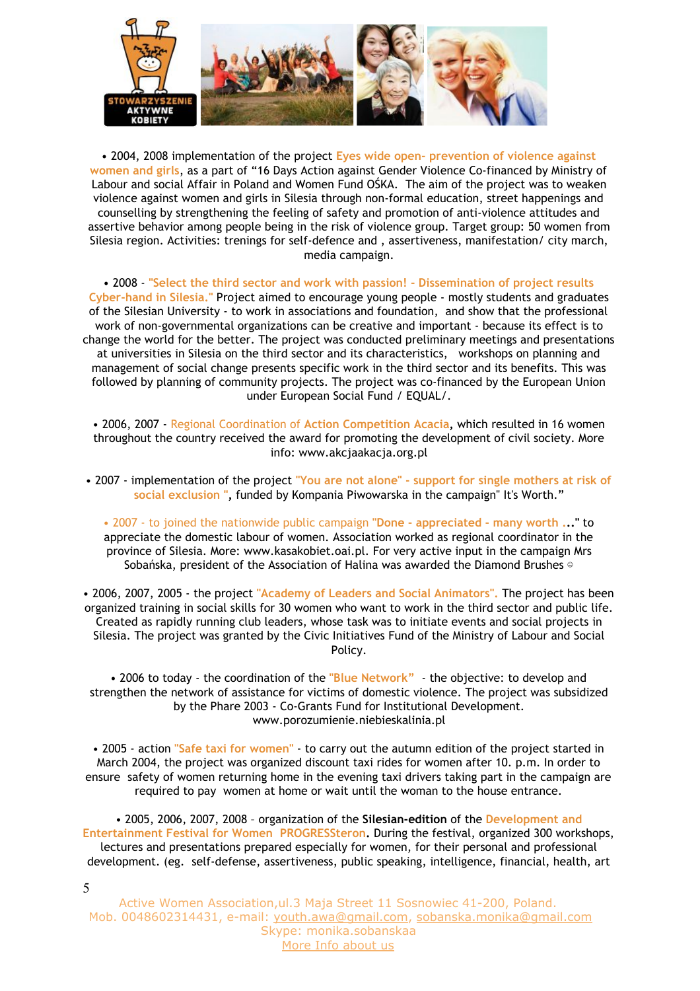

• 2004, 2008 implementation of the project **Eyes wide open- prevention of violence against women and girls**, as a part of "16 Days Action against Gender Violence Co-financed by Ministry of Labour and social Affair in Poland and Women Fund OŚKA. The aim of the project was to weaken violence against women and girls in Silesia through non-formal education, street happenings and counselling by strengthening the feeling of safety and promotion of anti-violence attitudes and assertive behavior among people being in the risk of violence group. Target group: 50 women from Silesia region. Activities: trenings for self-defence and , assertiveness, manifestation/ city march, media campaign.

• 2008 - **"Select the third sector and work with passion! - Dissemination of project results Cyber-hand in Silesia."** Project aimed to encourage young people - mostly students and graduates of the Silesian University - to work in associations and foundation, and show that the professional work of non-governmental organizations can be creative and important - because its effect is to change the world for the better. The project was conducted preliminary meetings and presentations at universities in Silesia on the third sector and its characteristics, workshops on planning and management of social change presents specific work in the third sector and its benefits. This was followed by planning of community projects. The project was co-financed by the European Union under European Social Fund / EQUAL/.

• 2006, 2007 - Regional Coordination of **Action Competition Acacia,** which resulted in 16 women throughout the country received the award for promoting the development of civil society. More info: www.akcjaakacja.org.pl

• 2007 - implementation of the project **"You are not alone" - support for single mothers at risk of social exclusion ",** funded by Kompania Piwowarska in the campaign" It's Worth."

• 2007 - to joined the nationwide public campaign **"Done - appreciated - many worth ..."** to appreciate the domestic labour of women. Association worked as regional coordinator in the province of Silesia. More: www.kasakobiet.oai.pl. For very active input in the campaign Mrs Sobańska, president of the Association of Halina was awarded the Diamond Brushes  $\circ$ 

• 2006, 2007, 2005 - the project **"Academy of Leaders and Social Animators".** The project has been organized training in social skills for 30 women who want to work in the third sector and public life. Created as rapidly running club leaders, whose task was to initiate events and social projects in Silesia. The project was granted by the Civic Initiatives Fund of the Ministry of Labour and Social Policy.

• 2006 to today - the coordination of the **"Blue Network"**  - the objective: to develop and strengthen the network of assistance for victims of domestic violence. The project was subsidized by the Phare 2003 - Co-Grants Fund for Institutional Development. www.porozumienie.niebieskalinia.pl

• 2005 - action **"Safe taxi for women"** - to carry out the autumn edition of the project started in March 2004, the project was organized discount taxi rides for women after 10. p.m. In order to ensure safety of women returning home in the evening taxi drivers taking part in the campaign are required to pay women at home or wait until the woman to the house entrance.

• 2005, 2006, 2007, 2008 – organization of the **Silesian-edition** of the **Development and Entertainment Festival for Women PROGRESSteron.** During the festival, organized 300 workshops, lectures and presentations prepared especially for women, for their personal and professional development. (eg. self-defense, assertiveness, public speaking, intelligence, financial, health, art

Active Women Association,ul.3 Maja Street 11 Sosnowiec 41-200, Poland. Mob. 0048602314431, e-mail: [youth.awa@gmail.com,](mailto:youth.awa@gmail.com) [sobanska.monika@gmail.com](mailto:sobanska.monika@gmail.com) [Skype: monika.sobanskaa](http://l/) [More Info about us](http://www.youblisher.com/p/1620087-ACTIVE-WOMEN-ASSOCIATION-Brochure/)